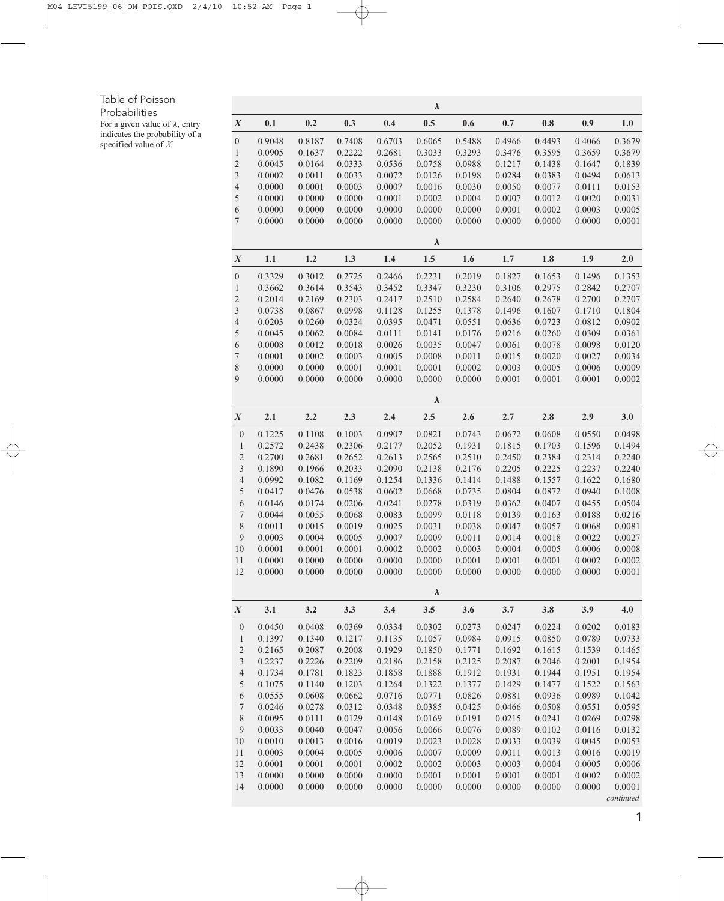## Table of Poisson

Probabilities

For a given value of  $\lambda$ , entry indicates the probability of a specified value of *<sup>X</sup>.*  $\lambda$ 

|                             | $\lambda$ |        |        |        |                 |        |        |                |        |           |
|-----------------------------|-----------|--------|--------|--------|-----------------|--------|--------|----------------|--------|-----------|
| $\boldsymbol{X}$            | 0.1       | 0.2    | 0.3    | 0.4    | 0.5             | 0.6    | 0.7    | $\mathbf{0.8}$ | 0.9    | 1.0       |
| $\boldsymbol{0}$            | 0.9048    | 0.8187 | 0.7408 | 0.6703 | 0.6065          | 0.5488 | 0.4966 | 0.4493         | 0.4066 | 0.3679    |
| $\mathbf{1}$                | 0.0905    | 0.1637 | 0.2222 | 0.2681 | 0.3033          | 0.3293 | 0.3476 | 0.3595         | 0.3659 | 0.3679    |
| $\sqrt{2}$                  | 0.0045    | 0.0164 | 0.0333 | 0.0536 | 0.0758          | 0.0988 | 0.1217 | 0.1438         | 0.1647 | 0.1839    |
| $\ensuremath{\mathfrak{Z}}$ | 0.0002    | 0.0011 | 0.0033 | 0.0072 | 0.0126          | 0.0198 | 0.0284 | 0.0383         | 0.0494 | 0.0613    |
| $\overline{4}$              | 0.0000    | 0.0001 | 0.0003 | 0.0007 | 0.0016          | 0.0030 | 0.0050 | 0.0077         | 0.0111 | 0.0153    |
| 5                           | 0.0000    | 0.0000 | 0.0000 | 0.0001 | 0.0002          | 0.0004 | 0.0007 | 0.0012         | 0.0020 | 0.0031    |
| 6                           | 0.0000    | 0.0000 | 0.0000 | 0.0000 | 0.0000          | 0.0000 | 0.0001 | 0.0002         | 0.0003 | 0.0005    |
| $\tau$                      | 0.0000    | 0.0000 | 0.0000 | 0.0000 | 0.0000          | 0.0000 | 0.0000 | 0.0000         | 0.0000 | 0.0001    |
|                             |           |        |        |        | $\lambda$       |        |        |                |        |           |
| $\boldsymbol{X}$            | 1.1       | 1.2    | 1.3    | 1.4    | $1.5$           | 1.6    | 1.7    | 1.8            | 1.9    | 2.0       |
| $\boldsymbol{0}$            | 0.3329    | 0.3012 | 0.2725 | 0.2466 | 0.2231          | 0.2019 | 0.1827 | 0.1653         | 0.1496 | 0.1353    |
| $\mathbf{1}$                | 0.3662    | 0.3614 | 0.3543 | 0.3452 | 0.3347          | 0.3230 | 0.3106 | 0.2975         | 0.2842 | 0.2707    |
| $\overline{c}$              | 0.2014    | 0.2169 | 0.2303 | 0.2417 | 0.2510          | 0.2584 | 0.2640 | 0.2678         | 0.2700 | 0.2707    |
| $\mathfrak{Z}$              | 0.0738    | 0.0867 | 0.0998 | 0.1128 | 0.1255          | 0.1378 | 0.1496 | 0.1607         | 0.1710 | 0.1804    |
| $\overline{4}$              | 0.0203    | 0.0260 | 0.0324 | 0.0395 | 0.0471          | 0.0551 | 0.0636 | 0.0723         | 0.0812 | 0.0902    |
| 5                           | 0.0045    | 0.0062 | 0.0084 | 0.0111 | 0.0141          | 0.0176 | 0.0216 | 0.0260         | 0.0309 | 0.0361    |
| 6                           | 0.0008    | 0.0012 | 0.0018 | 0.0026 | 0.0035          | 0.0047 | 0.0061 | 0.0078         | 0.0098 | 0.0120    |
| $\tau$                      | 0.0001    | 0.0002 | 0.0003 | 0.0005 | 0.0008          | 0.0011 | 0.0015 | 0.0020         | 0.0027 | 0.0034    |
| $\,$ $\,$                   | 0.0000    | 0.0000 | 0.0001 | 0.0001 | 0.0001          | 0.0002 | 0.0003 | 0.0005         | 0.0006 | 0.0009    |
| $\overline{9}$              | 0.0000    | 0.0000 | 0.0000 | 0.0000 | 0.0000          | 0.0000 | 0.0001 | 0.0001         | 0.0001 | 0.0002    |
|                             |           |        |        |        | $\pmb{\lambda}$ |        |        |                |        |           |
| $\boldsymbol{X}$            | 2.1       | 2.2    | 2.3    | 2.4    | 2.5             | 2.6    | 2.7    | 2.8            | 2.9    | 3.0       |
| $\boldsymbol{0}$            | 0.1225    | 0.1108 | 0.1003 | 0.0907 | 0.0821          | 0.0743 | 0.0672 | 0.0608         | 0.0550 | 0.0498    |
| $\mathbf{1}$                | 0.2572    | 0.2438 | 0.2306 | 0.2177 | 0.2052          | 0.1931 | 0.1815 | 0.1703         | 0.1596 | 0.1494    |
| $\overline{c}$              | 0.2700    | 0.2681 | 0.2652 | 0.2613 | 0.2565          | 0.2510 | 0.2450 | 0.2384         | 0.2314 | 0.2240    |
| 3                           | 0.1890    | 0.1966 | 0.2033 | 0.2090 | 0.2138          | 0.2176 | 0.2205 | 0.2225         | 0.2237 | 0.2240    |
| $\overline{4}$              | 0.0992    | 0.1082 | 0.1169 | 0.1254 | 0.1336          | 0.1414 | 0.1488 | 0.1557         | 0.1622 | 0.1680    |
| 5                           | 0.0417    | 0.0476 | 0.0538 | 0.0602 | 0.0668          | 0.0735 | 0.0804 | 0.0872         | 0.0940 | 0.1008    |
| $\sqrt{6}$                  | 0.0146    | 0.0174 | 0.0206 | 0.0241 | 0.0278          | 0.0319 | 0.0362 | 0.0407         | 0.0455 | 0.0504    |
| $\boldsymbol{7}$            | 0.0044    | 0.0055 | 0.0068 | 0.0083 | 0.0099          | 0.0118 | 0.0139 | 0.0163         | 0.0188 | 0.0216    |
| 8                           | 0.0011    | 0.0015 | 0.0019 | 0.0025 | 0.0031          | 0.0038 | 0.0047 | 0.0057         | 0.0068 | 0.0081    |
| 9                           | 0.0003    | 0.0004 | 0.0005 | 0.0007 | 0.0009          | 0.0011 | 0.0014 | 0.0018         | 0.0022 | 0.0027    |
| 10                          | 0.0001    | 0.0001 | 0.0001 | 0.0002 | 0.0002          | 0.0003 | 0.0004 | 0.0005         | 0.0006 | 0.0008    |
| 11                          | 0.0000    | 0.0000 | 0.0000 | 0.0000 | 0.0000          | 0.0001 | 0.0001 | 0.0001         | 0.0002 | 0.0002    |
| 12                          | 0.0000    | 0.0000 | 0.0000 | 0.0000 | 0.0000          | 0.0000 | 0.0000 | 0.0000         | 0.0000 | 0.0001    |
|                             |           |        |        |        | $\lambda$       |        |        |                |        |           |
| $\boldsymbol{X}$            | 3.1       | 3.2    | 3.3    | 3.4    | 3.5             | 3.6    | 3.7    | 3.8            | 3.9    | 4.0       |
| $\boldsymbol{0}$            | 0.0450    | 0.0408 | 0.0369 | 0.0334 | 0.0302          | 0.0273 | 0.0247 | 0.0224         | 0.0202 | 0.0183    |
| $\mathbf{1}$                | 0.1397    | 0.1340 | 0.1217 | 0.1135 | 0.1057          | 0.0984 | 0.0915 | 0.0850         | 0.0789 | 0.0733    |
| $\overline{c}$              | 0.2165    | 0.2087 | 0.2008 | 0.1929 | 0.1850          | 0.1771 | 0.1692 | 0.1615         | 0.1539 | 0.1465    |
| $\mathfrak{Z}$              | 0.2237    | 0.2226 | 0.2209 | 0.2186 | 0.2158          | 0.2125 | 0.2087 | 0.2046         | 0.2001 | 0.1954    |
| $\overline{4}$              | 0.1734    | 0.1781 | 0.1823 | 0.1858 | 0.1888          | 0.1912 | 0.1931 | 0.1944         | 0.1951 | 0.1954    |
| 5                           | 0.1075    | 0.1140 | 0.1203 | 0.1264 | 0.1322          | 0.1377 | 0.1429 | 0.1477         | 0.1522 | 0.1563    |
| $\sqrt{6}$                  | 0.0555    | 0.0608 | 0.0662 | 0.0716 | 0.0771          | 0.0826 | 0.0881 | 0.0936         | 0.0989 | 0.1042    |
| $\boldsymbol{7}$            | 0.0246    | 0.0278 | 0.0312 | 0.0348 | 0.0385          | 0.0425 | 0.0466 | 0.0508         | 0.0551 | 0.0595    |
| $\,$ $\,$                   | 0.0095    | 0.0111 | 0.0129 | 0.0148 | 0.0169          | 0.0191 | 0.0215 | 0.0241         | 0.0269 | 0.0298    |
| $\boldsymbol{9}$            | 0.0033    | 0.0040 | 0.0047 | 0.0056 | 0.0066          | 0.0076 | 0.0089 | 0.0102         | 0.0116 | 0.0132    |
| $10\,$                      | 0.0010    | 0.0013 | 0.0016 | 0.0019 | 0.0023          | 0.0028 | 0.0033 | 0.0039         | 0.0045 | 0.0053    |
| 11                          | 0.0003    | 0.0004 | 0.0005 | 0.0006 | 0.0007          | 0.0009 | 0.0011 | 0.0013         | 0.0016 | 0.0019    |
| 12                          | 0.0001    | 0.0001 | 0.0001 | 0.0002 | 0.0002          | 0.0003 | 0.0003 | 0.0004         | 0.0005 | 0.0006    |
| 13                          | 0.0000    | 0.0000 | 0.0000 | 0.0000 | 0.0001          | 0.0001 | 0.0001 | 0.0001         | 0.0002 | 0.0002    |
| 14                          | 0.0000    | 0.0000 | 0.0000 | 0.0000 | 0.0000          | 0.0000 | 0.0000 | 0.0000         | 0.0000 | 0.0001    |
|                             |           |        |        |        |                 |        |        |                |        | continued |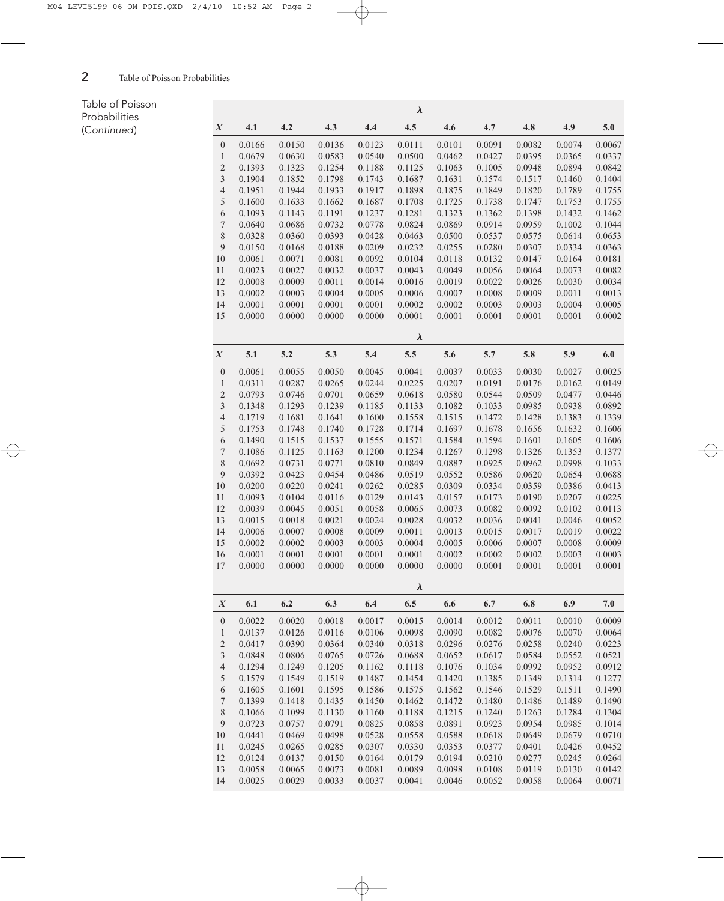## Table of Poisson Probabilities (Continued)

|                  |        |        |        |        | $\lambda$ |        |        |        |        |        |
|------------------|--------|--------|--------|--------|-----------|--------|--------|--------|--------|--------|
| $\boldsymbol{X}$ | 4.1    | 4.2    | 4.3    | 4.4    | 4.5       | 4.6    | 4.7    | 4.8    | 4.9    | 5.0    |
| $\boldsymbol{0}$ | 0.0166 | 0.0150 | 0.0136 | 0.0123 | 0.0111    | 0.0101 | 0.0091 | 0.0082 | 0.0074 | 0.0067 |
| $\mathbf{1}$     | 0.0679 | 0.0630 | 0.0583 | 0.0540 | 0.0500    | 0.0462 | 0.0427 | 0.0395 | 0.0365 | 0.0337 |
| $\overline{c}$   | 0.1393 | 0.1323 | 0.1254 | 0.1188 | 0.1125    | 0.1063 | 0.1005 | 0.0948 | 0.0894 | 0.0842 |
| 3                | 0.1904 | 0.1852 | 0.1798 | 0.1743 | 0.1687    | 0.1631 | 0.1574 | 0.1517 | 0.1460 | 0.1404 |
| $\overline{4}$   | 0.1951 | 0.1944 | 0.1933 | 0.1917 | 0.1898    | 0.1875 | 0.1849 | 0.1820 | 0.1789 | 0.1755 |
| $\sqrt{5}$       | 0.1600 | 0.1633 | 0.1662 | 0.1687 | 0.1708    | 0.1725 | 0.1738 | 0.1747 | 0.1753 | 0.1755 |
| 6                | 0.1093 | 0.1143 | 0.1191 | 0.1237 | 0.1281    | 0.1323 | 0.1362 | 0.1398 | 0.1432 | 0.1462 |
| $\boldsymbol{7}$ | 0.0640 | 0.0686 | 0.0732 | 0.0778 | 0.0824    | 0.0869 | 0.0914 | 0.0959 | 0.1002 | 0.1044 |
| 8                | 0.0328 | 0.0360 | 0.0393 | 0.0428 | 0.0463    | 0.0500 | 0.0537 | 0.0575 | 0.0614 | 0.0653 |
| $\overline{9}$   | 0.0150 | 0.0168 | 0.0188 | 0.0209 | 0.0232    | 0.0255 | 0.0280 | 0.0307 | 0.0334 | 0.0363 |
| 10               | 0.0061 | 0.0071 | 0.0081 | 0.0092 | 0.0104    | 0.0118 | 0.0132 | 0.0147 | 0.0164 | 0.0181 |
| 11               | 0.0023 | 0.0027 | 0.0032 | 0.0037 | 0.0043    | 0.0049 | 0.0056 | 0.0064 | 0.0073 | 0.0082 |
| 12               | 0.0008 | 0.0009 | 0.0011 | 0.0014 | 0.0016    | 0.0019 | 0.0022 | 0.0026 | 0.0030 | 0.0034 |
| 13               | 0.0002 | 0.0003 | 0.0004 | 0.0005 | 0.0006    | 0.0007 | 0.0008 | 0.0009 | 0.0011 | 0.0013 |
| 14               | 0.0001 | 0.0001 | 0.0001 | 0.0001 | 0.0002    | 0.0002 | 0.0003 | 0.0003 | 0.0004 | 0.0005 |
| 15               | 0.0000 | 0.0000 | 0.0000 | 0.0000 | 0.0001    | 0.0001 | 0.0001 | 0.0001 | 0.0001 | 0.0002 |
|                  |        |        |        |        | $\lambda$ |        |        |        |        |        |
| $\boldsymbol{X}$ | 5.1    | 5.2    | 5.3    | 5.4    | 5.5       | 5.6    | 5.7    | 5.8    | 5.9    | 6.0    |
| $\boldsymbol{0}$ | 0.0061 | 0.0055 | 0.0050 | 0.0045 | 0.0041    | 0.0037 | 0.0033 | 0.0030 | 0.0027 | 0.0025 |
| $\mathbf{1}$     | 0.0311 | 0.0287 | 0.0265 | 0.0244 | 0.0225    | 0.0207 | 0.0191 | 0.0176 | 0.0162 | 0.0149 |
| $\overline{c}$   | 0.0793 | 0.0746 | 0.0701 | 0.0659 | 0.0618    | 0.0580 | 0.0544 | 0.0509 | 0.0477 | 0.0446 |
| 3                | 0.1348 | 0.1293 | 0.1239 | 0.1185 | 0.1133    | 0.1082 | 0.1033 | 0.0985 | 0.0938 | 0.0892 |
| $\overline{4}$   | 0.1719 | 0.1681 | 0.1641 | 0.1600 | 0.1558    | 0.1515 | 0.1472 | 0.1428 | 0.1383 | 0.1339 |
| $\mathfrak s$    | 0.1753 | 0.1748 | 0.1740 | 0.1728 | 0.1714    | 0.1697 | 0.1678 | 0.1656 | 0.1632 | 0.1606 |
| $\sqrt{6}$       | 0.1490 | 0.1515 | 0.1537 | 0.1555 | 0.1571    | 0.1584 | 0.1594 | 0.1601 | 0.1605 | 0.1606 |
| $\boldsymbol{7}$ | 0.1086 | 0.1125 | 0.1163 | 0.1200 | 0.1234    | 0.1267 | 0.1298 | 0.1326 | 0.1353 | 0.1377 |
| 8                | 0.0692 | 0.0731 | 0.0771 | 0.0810 | 0.0849    | 0.0887 | 0.0925 | 0.0962 | 0.0998 | 0.1033 |
| $\overline{9}$   | 0.0392 | 0.0423 | 0.0454 | 0.0486 | 0.0519    | 0.0552 | 0.0586 | 0.0620 | 0.0654 | 0.0688 |
| 10               | 0.0200 | 0.0220 | 0.0241 | 0.0262 | 0.0285    | 0.0309 | 0.0334 | 0.0359 | 0.0386 | 0.0413 |
| 11               | 0.0093 | 0.0104 | 0.0116 | 0.0129 | 0.0143    | 0.0157 | 0.0173 | 0.0190 | 0.0207 | 0.0225 |
| 12               | 0.0039 | 0.0045 | 0.0051 | 0.0058 | 0.0065    | 0.0073 | 0.0082 | 0.0092 | 0.0102 | 0.0113 |
| 13               | 0.0015 | 0.0018 | 0.0021 | 0.0024 | 0.0028    | 0.0032 | 0.0036 | 0.0041 | 0.0046 | 0.0052 |
| 14               | 0.0006 | 0.0007 | 0.0008 | 0.0009 | 0.0011    | 0.0013 | 0.0015 | 0.0017 | 0.0019 | 0.0022 |
| 15               | 0.0002 | 0.0002 | 0.0003 | 0.0003 | 0.0004    | 0.0005 | 0.0006 | 0.0007 | 0.0008 | 0.0009 |
| 16               | 0.0001 | 0.0001 | 0.0001 | 0.0001 | 0.0001    | 0.0002 | 0.0002 | 0.0002 | 0.0003 | 0.0003 |
| 17               | 0.0000 | 0.0000 | 0.0000 | 0.0000 | 0.0000    | 0.0000 | 0.0001 | 0.0001 | 0.0001 | 0.0001 |
|                  |        |        |        |        | $\lambda$ |        |        |        |        |        |
| $\boldsymbol{X}$ | 6.1    | 6.2    | 6.3    | 6.4    | 6.5       | 6.6    | 6.7    | 6.8    | 6.9    | 7.0    |
| $\boldsymbol{0}$ | 0.0022 | 0.0020 | 0.0018 | 0.0017 | 0.0015    | 0.0014 | 0.0012 | 0.0011 | 0.0010 | 0.0009 |
| 1                | 0.0137 | 0.0126 | 0.0116 | 0.0106 | 0.0098    | 0.0090 | 0.0082 | 0.0076 | 0.0070 | 0.0064 |
| $\sqrt{2}$       | 0.0417 | 0.0390 | 0.0364 | 0.0340 | 0.0318    | 0.0296 | 0.0276 | 0.0258 | 0.0240 | 0.0223 |
| $\mathfrak{Z}$   | 0.0848 | 0.0806 | 0.0765 | 0.0726 | 0.0688    | 0.0652 | 0.0617 | 0.0584 | 0.0552 | 0.0521 |
| $\overline{4}$   | 0.1294 | 0.1249 | 0.1205 | 0.1162 | 0.1118    | 0.1076 | 0.1034 | 0.0992 | 0.0952 | 0.0912 |
| $\sqrt{5}$       | 0.1579 | 0.1549 | 0.1519 | 0.1487 | 0.1454    | 0.1420 | 0.1385 | 0.1349 | 0.1314 | 0.1277 |
| $\sqrt{6}$       | 0.1605 | 0.1601 | 0.1595 | 0.1586 | 0.1575    | 0.1562 | 0.1546 | 0.1529 | 0.1511 | 0.1490 |
| $\tau$           | 0.1399 | 0.1418 | 0.1435 | 0.1450 | 0.1462    | 0.1472 | 0.1480 | 0.1486 | 0.1489 | 0.1490 |
| $\,$ $\,$        | 0.1066 | 0.1099 | 0.1130 | 0.1160 | 0.1188    | 0.1215 | 0.1240 | 0.1263 | 0.1284 | 0.1304 |
| $\boldsymbol{9}$ | 0.0723 | 0.0757 | 0.0791 | 0.0825 | 0.0858    | 0.0891 | 0.0923 | 0.0954 | 0.0985 | 0.1014 |
| 10               | 0.0441 | 0.0469 | 0.0498 | 0.0528 | 0.0558    | 0.0588 | 0.0618 | 0.0649 | 0.0679 | 0.0710 |
| 11               | 0.0245 | 0.0265 | 0.0285 | 0.0307 | 0.0330    | 0.0353 | 0.0377 | 0.0401 | 0.0426 | 0.0452 |
| 12               | 0.0124 | 0.0137 | 0.0150 | 0.0164 | 0.0179    | 0.0194 | 0.0210 | 0.0277 | 0.0245 | 0.0264 |
| 13               | 0.0058 | 0.0065 | 0.0073 | 0.0081 | 0.0089    | 0.0098 | 0.0108 | 0.0119 | 0.0130 | 0.0142 |
| 14               | 0.0025 | 0.0029 | 0.0033 | 0.0037 | 0.0041    | 0.0046 | 0.0052 | 0.0058 | 0.0064 | 0.0071 |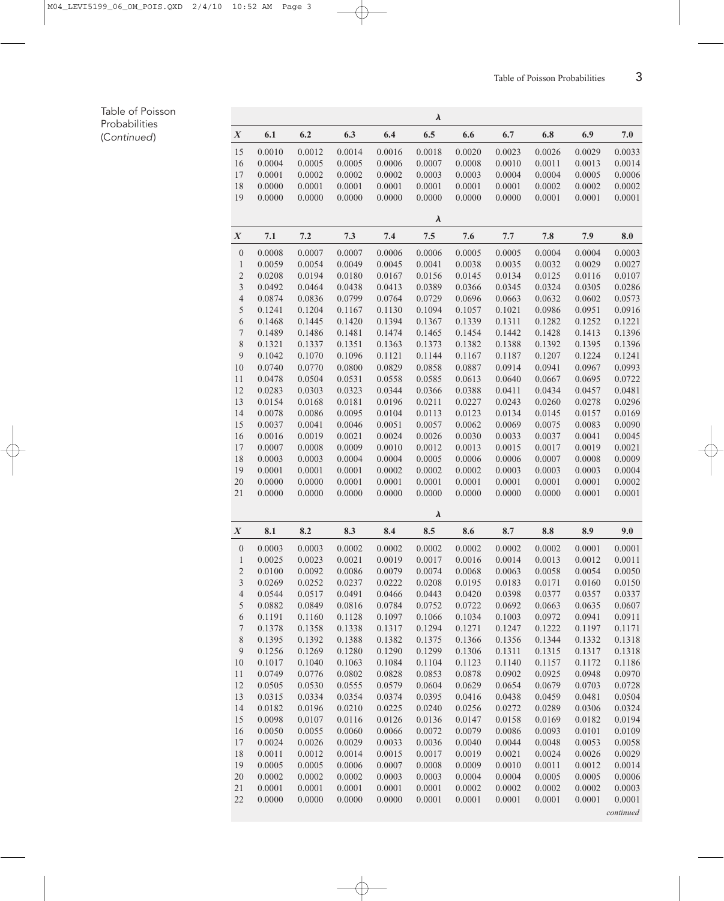## Table of Poisson Probabilities (Continued)

|                  |                  |                  |                  |                  | $\lambda$        |                  |                  |                  |                  |                  |
|------------------|------------------|------------------|------------------|------------------|------------------|------------------|------------------|------------------|------------------|------------------|
| $\boldsymbol{X}$ | 6.1              | 6.2              | 6.3              | 6.4              | 6.5              | 6.6              | 6.7              | 6.8              | 6.9              | 7.0              |
| 15               | 0.0010           | 0.0012           | 0.0014           | 0.0016           | 0.0018           | 0.0020           | 0.0023           | 0.0026           | 0.0029           | 0.0033           |
| 16               | 0.0004           | 0.0005           | 0.0005           | 0.0006           | 0.0007           | 0.0008           | 0.0010           | 0.0011           | 0.0013           | 0.0014           |
| 17               | 0.0001           | 0.0002           | 0.0002           | 0.0002           | 0.0003           | 0.0003           | 0.0004           | 0.0004           | 0.0005           | 0.0006           |
| $18\,$           | 0.0000           | 0.0001           | 0.0001           | 0.0001           | 0.0001           | 0.0001           | 0.0001           | 0.0002           | 0.0002           | 0.0002           |
| 19               | 0.0000           | 0.0000           | 0.0000           | 0.0000           | 0.0000           | 0.0000           | 0.0000           | 0.0001           | 0.0001           | 0.0001           |
|                  |                  |                  |                  |                  | $\lambda$        |                  |                  |                  |                  |                  |
| $\boldsymbol{X}$ | 7.1              | 7.2              | 7.3              | 7.4              | 7.5              | 7.6              | 7.7              | 7.8              | 7.9              | 8.0              |
| $\boldsymbol{0}$ | 0.0008           | 0.0007           | 0.0007           | 0.0006           | 0.0006           | 0.0005           | 0.0005           | 0.0004           | 0.0004           | 0.0003           |
| $\mathbf{1}$     | 0.0059           | 0.0054           | 0.0049           | 0.0045           | 0.0041           | 0.0038           | 0.0035           | 0.0032           | 0.0029           | 0.0027           |
| $\sqrt{2}$       | 0.0208           | 0.0194           | 0.0180           | 0.0167           | 0.0156           | 0.0145           | 0.0134           | 0.0125           | 0.0116           | 0.0107           |
| $\mathfrak{Z}$   | 0.0492           | 0.0464           | 0.0438           | 0.0413           | 0.0389           | 0.0366           | 0.0345           | 0.0324           | 0.0305           | 0.0286           |
| $\overline{4}$   | 0.0874           | 0.0836           | 0.0799           | 0.0764           | 0.0729           | 0.0696           | 0.0663           | 0.0632           | 0.0602           | 0.0573           |
| 5                | 0.1241           | 0.1204           | 0.1167           | 0.1130           | 0.1094           | 0.1057           | 0.1021           | 0.0986           | 0.0951           | 0.0916           |
| $\sqrt{6}$       | 0.1468           | 0.1445           | 0.1420           | 0.1394           | 0.1367           | 0.1339           | 0.1311           | 0.1282           | 0.1252           | 0.1221           |
| $\boldsymbol{7}$ | 0.1489           | 0.1486           | 0.1481           | 0.1474           | 0.1465           | 0.1454           | 0.1442           | 0.1428           | 0.1413           | 0.1396           |
| $8\,$            | 0.1321           | 0.1337           | 0.1351           | 0.1363           | 0.1373           | 0.1382           | 0.1388           | 0.1392           | 0.1395           | 0.1396           |
| $\mathbf{9}$     | 0.1042           | 0.1070           | 0.1096           | 0.1121           | 0.1144           | 0.1167           | 0.1187           | 0.1207           | 0.1224           | 0.1241           |
| 10               | 0.0740           | 0.0770           | 0.0800           | 0.0829           | 0.0858           | 0.0887           | 0.0914           | 0.0941           | 0.0967           | 0.0993           |
| 11<br>12         | 0.0478           | 0.0504           | 0.0531<br>0.0323 | 0.0558<br>0.0344 | 0.0585           | 0.0613           | 0.0640<br>0.0411 | 0.0667           | 0.0695<br>0.0457 | 0.0722           |
| 13               | 0.0283<br>0.0154 | 0.0303<br>0.0168 | 0.0181           | 0.0196           | 0.0366<br>0.0211 | 0.0388<br>0.0227 | 0.0243           | 0.0434<br>0.0260 | 0.0278           | 0.0481<br>0.0296 |
| 14               | 0.0078           | 0.0086           | 0.0095           | 0.0104           | 0.0113           | 0.0123           | 0.0134           | 0.0145           | 0.0157           | 0.0169           |
| 15               | 0.0037           | 0.0041           | 0.0046           | 0.0051           | 0.0057           | 0.0062           | 0.0069           | 0.0075           | 0.0083           | 0.0090           |
| 16               | 0.0016           | 0.0019           | 0.0021           | 0.0024           | 0.0026           | 0.0030           | 0.0033           | 0.0037           | 0.0041           | 0.0045           |
| 17               | 0.0007           | 0.0008           | 0.0009           | 0.0010           | 0.0012           | 0.0013           | 0.0015           | 0.0017           | 0.0019           | 0.0021           |
| $18\,$           | 0.0003           | 0.0003           | 0.0004           | 0.0004           | 0.0005           | 0.0006           | 0.0006           | 0.0007           | 0.0008           | 0.0009           |
| 19               | 0.0001           | 0.0001           | 0.0001           | 0.0002           | 0.0002           | 0.0002           | 0.0003           | 0.0003           | 0.0003           | 0.0004           |
| 20               | 0.0000           | 0.0000           | 0.0001           | 0.0001           | 0.0001           | 0.0001           | 0.0001           | 0.0001           | 0.0001           | 0.0002           |
| 21               | 0.0000           | 0.0000           | 0.0000           | 0.0000           | 0.0000           | 0.0000           | 0.0000           | 0.0000           | 0.0001           | 0.0001           |
|                  |                  |                  |                  |                  | $\lambda$        |                  |                  |                  |                  |                  |
| $\boldsymbol{X}$ | 8.1              | 8.2              | 8.3              | 8.4              | 8.5              | 8.6              | 8.7              | 8.8              | 8.9              | 9.0              |
| $\boldsymbol{0}$ | 0.0003           | 0.0003           | 0.0002           | 0.0002           | 0.0002           | 0.0002           | 0.0002           | 0.0002           | 0.0001           | 0.0001           |
| $\mathbf{1}$     | 0.0025           | 0.0023           | 0.0021           | 0.0019           | 0.0017           | 0.0016           | 0.0014           | 0.0013           | 0.0012           | 0.0011           |
| $\overline{c}$   | 0.0100           | 0.0092           | 0.0086           | 0.0079           | 0.0074           | 0.0068           | 0.0063           | 0.0058           | 0.0054           | 0.0050           |
| $\mathfrak{Z}$   | 0.0269           | 0.0252           | 0.0237           | 0.0222           | 0.0208           | 0.0195           | 0.0183           | 0.0171           | 0.0160           | 0.0150           |
| $\overline{4}$   | 0.0544           | 0.0517           | 0.0491           | 0.0466           | 0.0443           | 0.0420           | 0.0398           | 0.0377           | 0.0357           | 0.0337           |
| 5                | 0.0882           | 0.0849           | 0.0816           | 0.0784           | 0.0752           | 0.0722           | 0.0692           | 0.0663           | 0.0635           | 0.0607           |
| $\sqrt{6}$       | 0.1191           | 0.1160           | 0.1128           | 0.1097           | 0.1066           | 0.1034           | 0.1003           | 0.0972           | 0.0941           | 0.0911           |
| $\boldsymbol{7}$ | 0.1378           | 0.1358           | 0.1338           | 0.1317           | 0.1294           | 0.1271           | 0.1247           | 0.1222           | 0.1197           | 0.1171           |
| $8\,$            | 0.1395           | 0.1392           | 0.1388           | 0.1382           | 0.1375           | 0.1366           | 0.1356           | 0.1344           | 0.1332           | 0.1318           |
| $\mathbf{9}$     | 0.1256           | 0.1269           | 0.1280           | 0.1290           | 0.1299           | 0.1306           | 0.1311           | 0.1315           | 0.1317           | 0.1318           |
| 10               | 0.1017           | 0.1040           | 0.1063           | 0.1084           | 0.1104           | 0.1123           | 0.1140           | 0.1157           | 0.1172           | 0.1186           |
| 11               | 0.0749           | 0.0776           | 0.0802           | 0.0828           | 0.0853           | 0.0878           | 0.0902           | 0.0925           | 0.0948           | 0.0970           |
| 12               | 0.0505           | 0.0530           | 0.0555           | 0.0579           | 0.0604           | 0.0629           | 0.0654           | 0.0679           | 0.0703           | 0.0728           |
| 13               | 0.0315           | 0.0334           | 0.0354           | 0.0374           | 0.0395           | 0.0416           | 0.0438           | 0.0459           | 0.0481           | 0.0504           |
| 14               | 0.0182           | 0.0196           | 0.0210           | 0.0225           | 0.0240           | 0.0256           | 0.0272           | 0.0289           | 0.0306           | 0.0324           |
| 15               | 0.0098           | 0.0107           | 0.0116           | 0.0126           | 0.0136           | 0.0147           | 0.0158           | 0.0169           | 0.0182           | 0.0194           |
| 16               | 0.0050           | 0.0055           | 0.0060           | 0.0066           | 0.0072           | 0.0079           | 0.0086           | 0.0093           | 0.0101           | 0.0109           |
| 17               | 0.0024           | 0.0026           | 0.0029           | 0.0033           | 0.0036           | 0.0040           | 0.0044           | 0.0048           | 0.0053           | 0.0058           |
| 18               | 0.0011           | 0.0012           | 0.0014           | 0.0015           | 0.0017           | 0.0019           | 0.0021           | 0.0024           | 0.0026           | 0.0029           |
| 19               | 0.0005           | 0.0005           | 0.0006           | 0.0007           | 0.0008           | 0.0009           | 0.0010           | 0.0011           | 0.0012           | 0.0014           |
| 20               | 0.0002           | 0.0002<br>0.0001 | 0.0002           | 0.0003           | 0.0003           | 0.0004           | 0.0004<br>0.0002 | 0.0005           | 0.0005           | 0.0006           |
| 21<br>22         | 0.0001<br>0.0000 | 0.0000           | 0.0001<br>0.0000 | 0.0001<br>0.0000 | 0.0001<br>0.0001 | 0.0002<br>0.0001 | 0.0001           | 0.0002<br>0.0001 | 0.0002<br>0.0001 | 0.0003<br>0.0001 |
|                  |                  |                  |                  |                  |                  |                  |                  |                  |                  |                  |
|                  |                  |                  |                  |                  |                  |                  |                  |                  |                  | continued        |